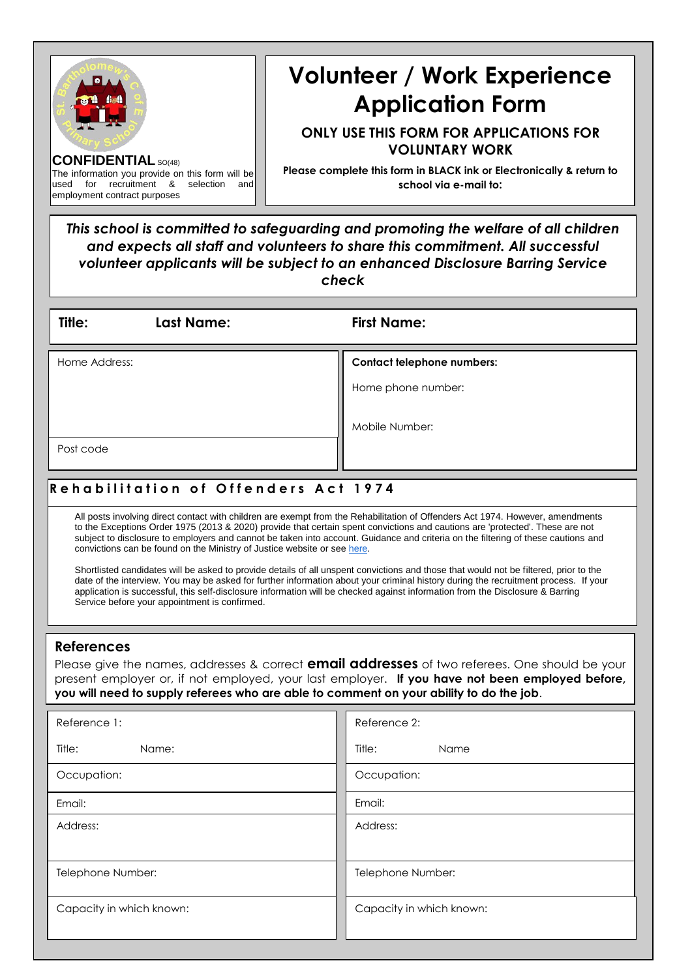| <b>CONFIDENTIAL SO(48)</b><br>The information you provide on this form will be<br>for recruitment &<br>used<br>selection<br>and<br>employment contract purposes                                                                                                                                                                                                                                                                                                                                                                                                                                                                                                                                                                                                                                                                                                                                                                                                                                   | <b>Volunteer / Work Experience</b><br><b>Application Form</b><br><b>ONLY USE THIS FORM FOR APPLICATIONS FOR</b><br><b>VOLUNTARY WORK</b><br>Please complete this form in BLACK ink or Electronically & return to<br>school via e-mail to:<br>This school is committed to safeguarding and promoting the welfare of all children<br>and expects all staff and volunteers to share this commitment. All successful<br>volunteer applicants will be subject to an enhanced Disclosure Barring Service<br>check |  |  |  |  |  |
|---------------------------------------------------------------------------------------------------------------------------------------------------------------------------------------------------------------------------------------------------------------------------------------------------------------------------------------------------------------------------------------------------------------------------------------------------------------------------------------------------------------------------------------------------------------------------------------------------------------------------------------------------------------------------------------------------------------------------------------------------------------------------------------------------------------------------------------------------------------------------------------------------------------------------------------------------------------------------------------------------|-------------------------------------------------------------------------------------------------------------------------------------------------------------------------------------------------------------------------------------------------------------------------------------------------------------------------------------------------------------------------------------------------------------------------------------------------------------------------------------------------------------|--|--|--|--|--|
| Title:<br>Last Name:                                                                                                                                                                                                                                                                                                                                                                                                                                                                                                                                                                                                                                                                                                                                                                                                                                                                                                                                                                              | <b>First Name:</b>                                                                                                                                                                                                                                                                                                                                                                                                                                                                                          |  |  |  |  |  |
| Home Address:                                                                                                                                                                                                                                                                                                                                                                                                                                                                                                                                                                                                                                                                                                                                                                                                                                                                                                                                                                                     | <b>Contact telephone numbers:</b><br>Home phone number:<br>Mobile Number:                                                                                                                                                                                                                                                                                                                                                                                                                                   |  |  |  |  |  |
| Post code                                                                                                                                                                                                                                                                                                                                                                                                                                                                                                                                                                                                                                                                                                                                                                                                                                                                                                                                                                                         |                                                                                                                                                                                                                                                                                                                                                                                                                                                                                                             |  |  |  |  |  |
| <b>Rehabilitation of Offenders Act 1974</b><br>All posts involving direct contact with children are exempt from the Rehabilitation of Offenders Act 1974. However, amendments<br>to the Exceptions Order 1975 (2013 & 2020) provide that certain spent convictions and cautions are 'protected'. These are not<br>subject to disclosure to employers and cannot be taken into account. Guidance and criteria on the filtering of these cautions and<br>convictions can be found on the Ministry of Justice website or see here.<br>Shortlisted candidates will be asked to provide details of all unspent convictions and those that would not be filtered, prior to the<br>date of the interview. You may be asked for further information about your criminal history during the recruitment process. If your<br>application is successful, this self-disclosure information will be checked against information from the Disclosure & Barring<br>Service before your appointment is confirmed. |                                                                                                                                                                                                                                                                                                                                                                                                                                                                                                             |  |  |  |  |  |
| <b>References</b><br>Please give the names, addresses & correct <b>email addresses</b> of two referees. One should be your<br>present employer or, if not employed, your last employer. If you have not been employed before,<br>you will need to supply referees who are able to comment on your ability to do the job.                                                                                                                                                                                                                                                                                                                                                                                                                                                                                                                                                                                                                                                                          |                                                                                                                                                                                                                                                                                                                                                                                                                                                                                                             |  |  |  |  |  |
| Reference 1:                                                                                                                                                                                                                                                                                                                                                                                                                                                                                                                                                                                                                                                                                                                                                                                                                                                                                                                                                                                      | Reference 2:                                                                                                                                                                                                                                                                                                                                                                                                                                                                                                |  |  |  |  |  |
| Title:<br>Name:                                                                                                                                                                                                                                                                                                                                                                                                                                                                                                                                                                                                                                                                                                                                                                                                                                                                                                                                                                                   | Title:<br>Name                                                                                                                                                                                                                                                                                                                                                                                                                                                                                              |  |  |  |  |  |
| Occupation:                                                                                                                                                                                                                                                                                                                                                                                                                                                                                                                                                                                                                                                                                                                                                                                                                                                                                                                                                                                       | Occupation:                                                                                                                                                                                                                                                                                                                                                                                                                                                                                                 |  |  |  |  |  |
| Email:                                                                                                                                                                                                                                                                                                                                                                                                                                                                                                                                                                                                                                                                                                                                                                                                                                                                                                                                                                                            | Email:                                                                                                                                                                                                                                                                                                                                                                                                                                                                                                      |  |  |  |  |  |
| Address:                                                                                                                                                                                                                                                                                                                                                                                                                                                                                                                                                                                                                                                                                                                                                                                                                                                                                                                                                                                          | Address:                                                                                                                                                                                                                                                                                                                                                                                                                                                                                                    |  |  |  |  |  |
| Telephone Number:                                                                                                                                                                                                                                                                                                                                                                                                                                                                                                                                                                                                                                                                                                                                                                                                                                                                                                                                                                                 | Telephone Number:                                                                                                                                                                                                                                                                                                                                                                                                                                                                                           |  |  |  |  |  |
| Capacity in which known:                                                                                                                                                                                                                                                                                                                                                                                                                                                                                                                                                                                                                                                                                                                                                                                                                                                                                                                                                                          | Capacity in which known:                                                                                                                                                                                                                                                                                                                                                                                                                                                                                    |  |  |  |  |  |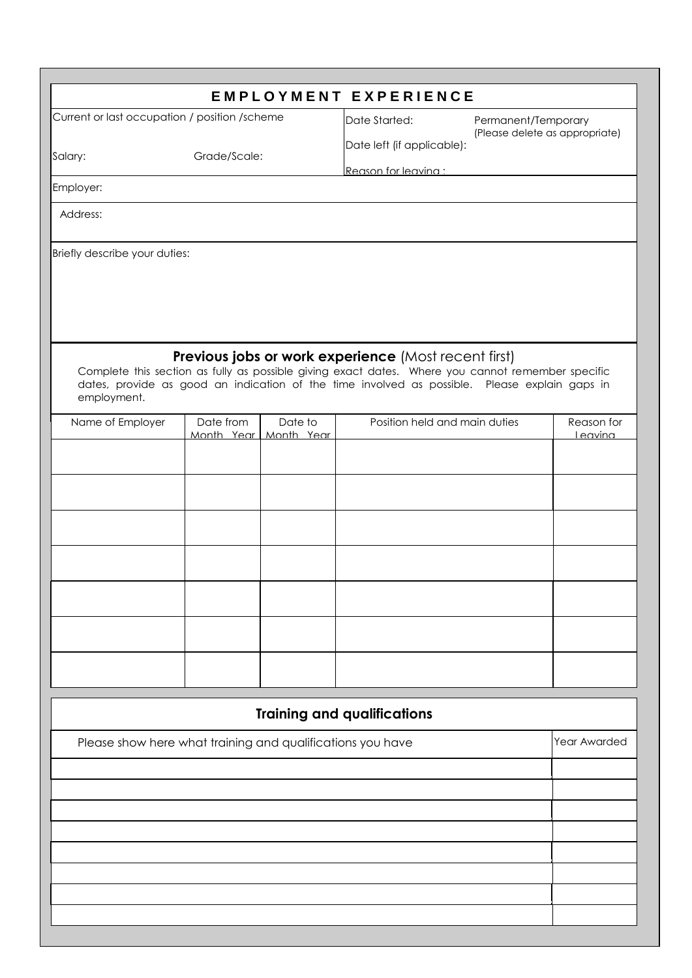|                                                            |              |               | <b>EMPLOYMENT EXPERIENCE</b>                                                                                                                                                                       |                                |              |
|------------------------------------------------------------|--------------|---------------|----------------------------------------------------------------------------------------------------------------------------------------------------------------------------------------------------|--------------------------------|--------------|
| Current or last occupation / position / scheme             |              | Date Started: | Permanent/Temporary                                                                                                                                                                                |                                |              |
| Salary:                                                    | Grade/Scale: |               | Date left (if applicable):<br>Reason for leavina :                                                                                                                                                 | (Please delete as appropriate) |              |
| Employer:                                                  |              |               |                                                                                                                                                                                                    |                                |              |
| Address:                                                   |              |               |                                                                                                                                                                                                    |                                |              |
| Briefly describe your duties:                              |              |               |                                                                                                                                                                                                    |                                |              |
|                                                            |              |               |                                                                                                                                                                                                    |                                |              |
|                                                            |              |               |                                                                                                                                                                                                    |                                |              |
|                                                            |              |               | Previous jobs or work experience (Most recent first)                                                                                                                                               |                                |              |
| employment.                                                |              |               | Complete this section as fully as possible giving exact dates. Where you cannot remember specific<br>dates, provide as good an indication of the time involved as possible. Please explain gaps in |                                |              |
| Name of Employer                                           | Date from    | Date to       | Position held and main duties                                                                                                                                                                      |                                | Reason for   |
|                                                            | Month Year   | Month Year    |                                                                                                                                                                                                    |                                | Leavina      |
|                                                            |              |               |                                                                                                                                                                                                    |                                |              |
|                                                            |              |               |                                                                                                                                                                                                    |                                |              |
|                                                            |              |               |                                                                                                                                                                                                    |                                |              |
|                                                            |              |               |                                                                                                                                                                                                    |                                |              |
|                                                            |              |               |                                                                                                                                                                                                    |                                |              |
|                                                            |              |               |                                                                                                                                                                                                    |                                |              |
|                                                            |              |               |                                                                                                                                                                                                    |                                |              |
|                                                            |              |               |                                                                                                                                                                                                    |                                |              |
|                                                            |              |               |                                                                                                                                                                                                    |                                |              |
|                                                            |              |               | <b>Training and qualifications</b>                                                                                                                                                                 |                                |              |
| Please show here what training and qualifications you have |              |               |                                                                                                                                                                                                    |                                | Year Awarded |
|                                                            |              |               |                                                                                                                                                                                                    |                                |              |
|                                                            |              |               |                                                                                                                                                                                                    |                                |              |
|                                                            |              |               |                                                                                                                                                                                                    |                                |              |
|                                                            |              |               |                                                                                                                                                                                                    |                                |              |
|                                                            |              |               |                                                                                                                                                                                                    |                                |              |
|                                                            |              |               |                                                                                                                                                                                                    |                                |              |
|                                                            |              |               |                                                                                                                                                                                                    |                                |              |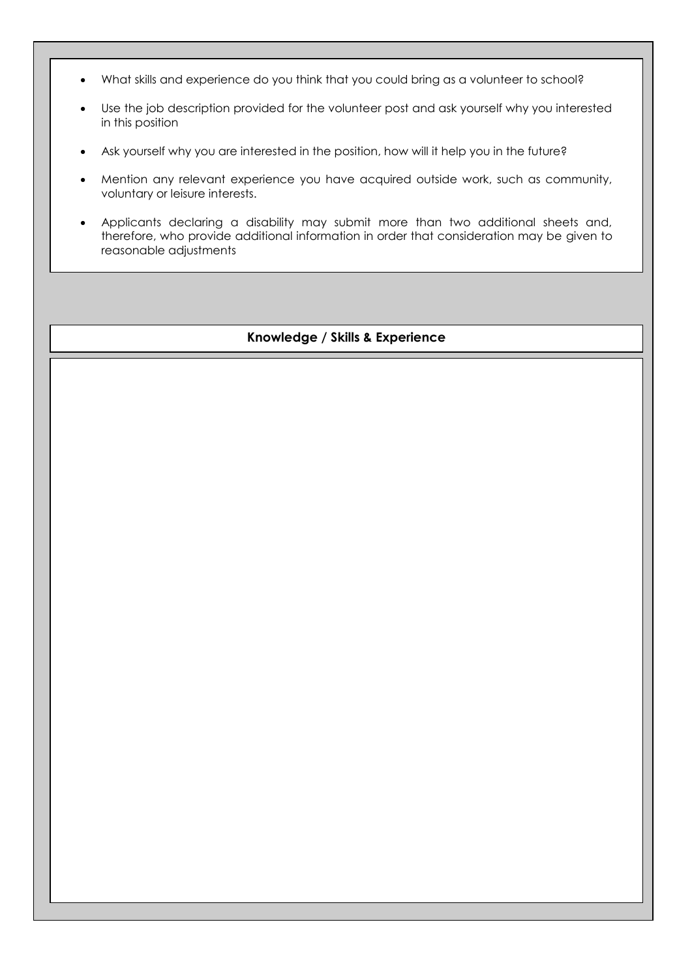- What skills and experience do you think that you could bring as a volunteer to school?
- Use the job description provided for the volunteer post and ask yourself why you interested in this position
- Ask yourself why you are interested in the position, how will it help you in the future?
- Mention any relevant experience you have acquired outside work, such as community, voluntary or leisure interests.
- Applicants declaring a disability may submit more than two additional sheets and, therefore, who provide additional information in order that consideration may be given to reasonable adjustments

## **Knowledge / Skills & Experience**